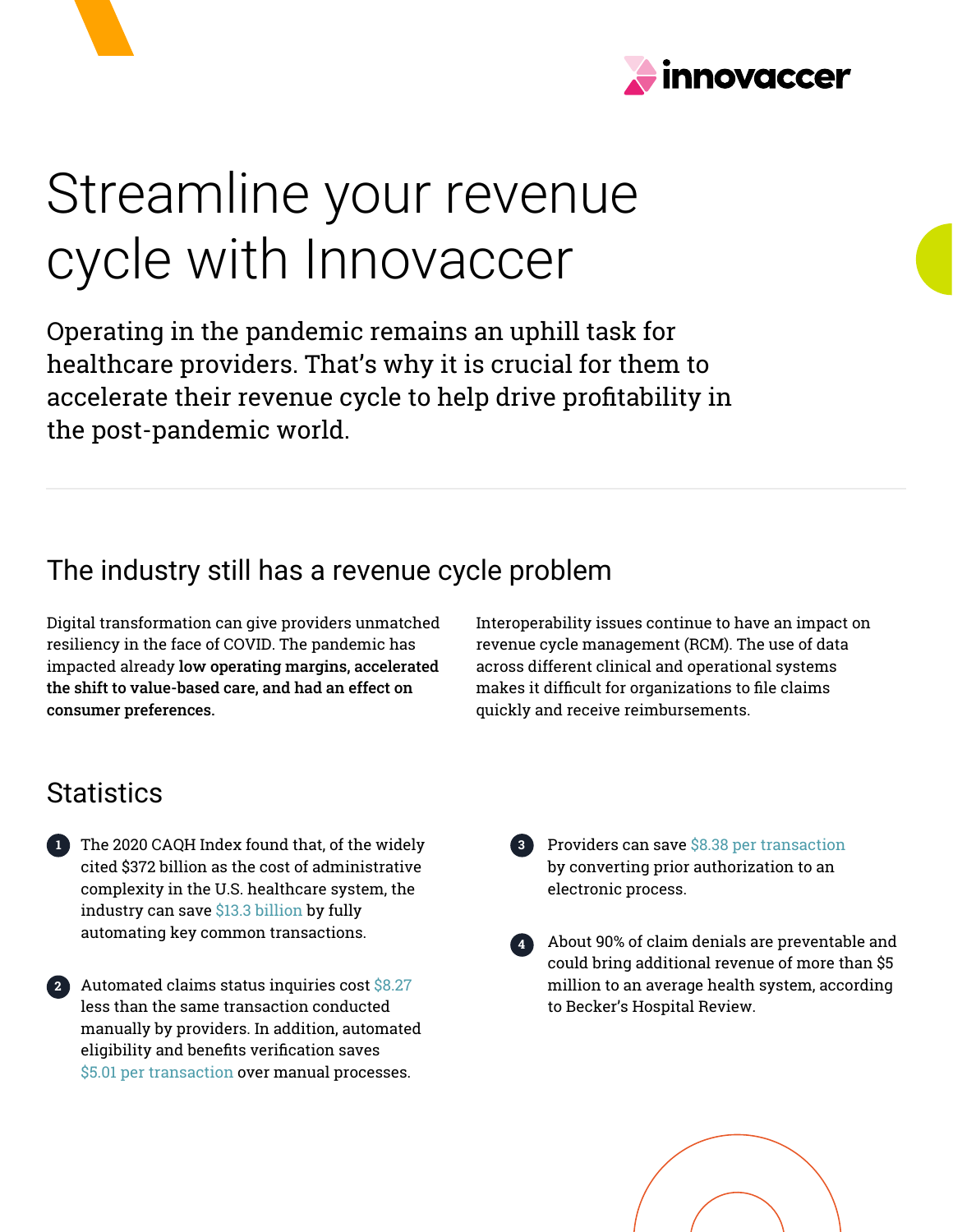



# Streamline your revenue cycle with Innovaccer

Operating in the pandemic remains an uphill task for healthcare providers. That's why it is crucial for them to accelerate their revenue cycle to help drive profitability in the post-pandemic world.

## The industry still has a revenue cycle problem

Digital transformation can give providers unmatched resiliency in the face of COVID. The pandemic has impacted already low operating margins, accelerated the shift to value-based care, and had an effect on consumer preferences.

Interoperability issues continue to have an impact on revenue cycle management (RCM). The use of data across different clinical and operational systems makes it difficult for organizations to file claims quickly and receive reimbursements.

## **Statistics**

**2**

- The 2020 CAQH Index found that, of the widely **1 3** cited \$372 billion as the cost of administrative complexity in the U.S. healthcare system, the industry can save \$13.3 billion by fully automating key common transactions.
- Automated claims status inquiries cost \$8.27 less than the same transaction conducted manually by providers. In addition, automated eligibility and benefits verification saves \$5.01 per transaction over manual processes.
- 8 Providers can save \$8.38 per transaction by converting prior authorization to an electronic process.
- About 90% of claim denials are preventable and could bring additional revenue of more than \$5 million to an average health system, according to Becker's Hospital Review. **4**

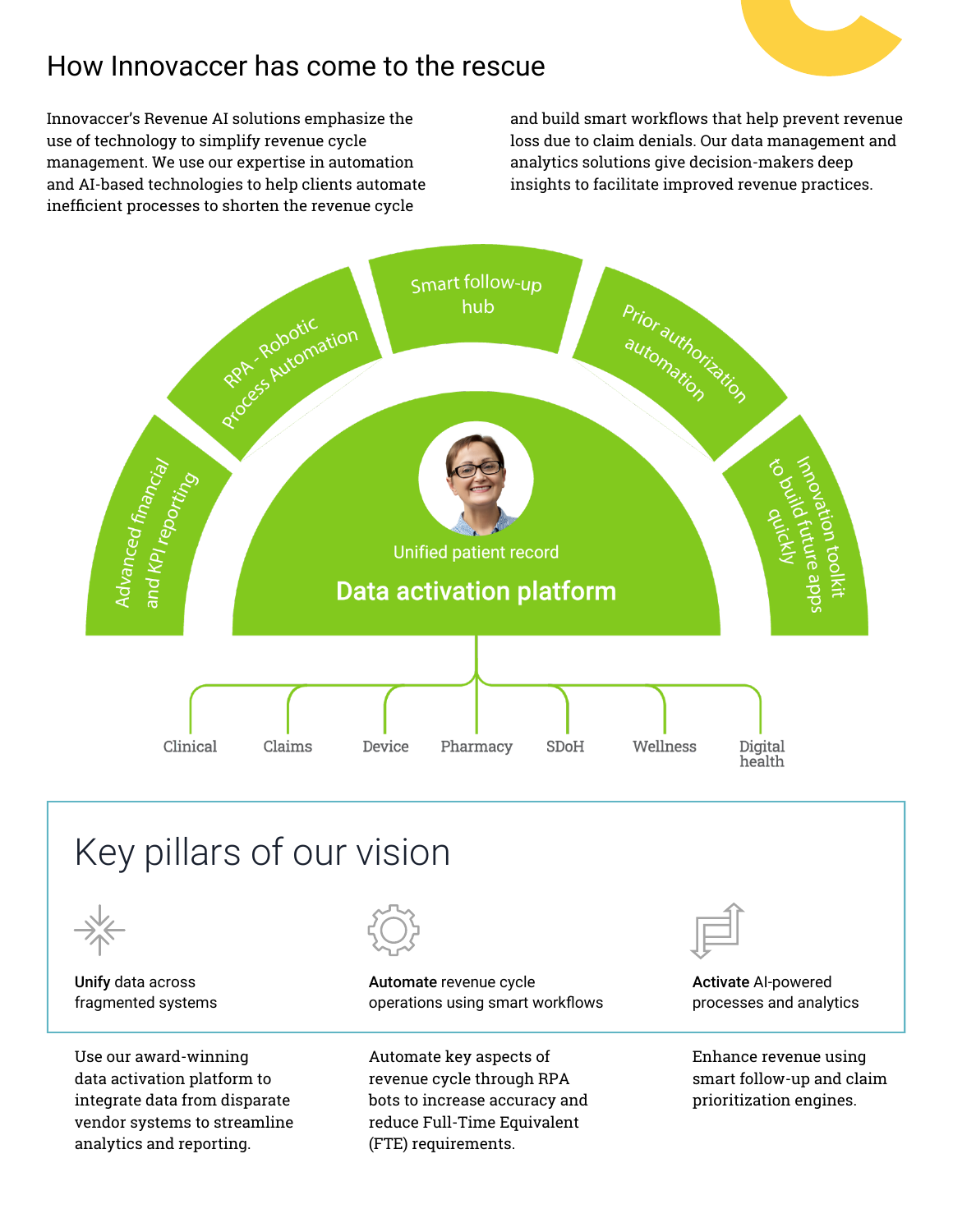## How Innovaccer has come to the rescue

Innovaccer's Revenue AI solutions emphasize the use of technology to simplify revenue cycle management. We use our expertise in automation and AI-based technologies to help clients automate inefficient processes to shorten the revenue cycle

and build smart workflows that help prevent revenue loss due to claim denials. Our data management and analytics solutions give decision-makers deep insights to facilitate improved revenue practices.







Unify data across fragmented systems

Use our award-winning data activation platform to integrate data from disparate vendor systems to streamline analytics and reporting.



Automate revenue cycle operations using smart workflows

Automate key aspects of revenue cycle through RPA bots to increase accuracy and reduce Full-Time Equivalent (FTE) requirements.



Activate AI-powered processes and analytics

Enhance revenue using smart follow-up and claim prioritization engines.